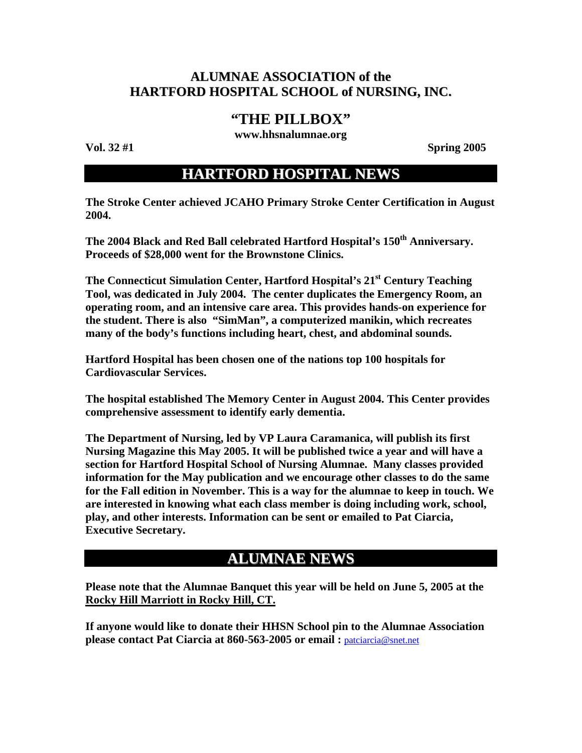## **ALUMNAE ASSOCIATION of the HARTFORD HOSPITAL SCHOOL of NURSING, INC.**

## **"THE PILLBOX"**

**www.hhsnalumnae.org** 

**Vol. 32 #1** Spring 2005

## **HARTFORD HOSPITAL NEWS**

**The Stroke Center achieved JCAHO Primary Stroke Center Certification in August 2004.** 

The 2004 Black and Red Ball celebrated Hartford Hospital's 150<sup>th</sup> Anniversary. **Proceeds of \$28,000 went for the Brownstone Clinics.** 

**The Connecticut Simulation Center, Hartford Hospital's 21st Century Teaching Tool, was dedicated in July 2004. The center duplicates the Emergency Room, an operating room, and an intensive care area. This provides hands-on experience for the student. There is also "SimMan", a computerized manikin, which recreates many of the body's functions including heart, chest, and abdominal sounds.** 

**Hartford Hospital has been chosen one of the nations top 100 hospitals for Cardiovascular Services.** 

**The hospital established The Memory Center in August 2004. This Center provides comprehensive assessment to identify early dementia.** 

**The Department of Nursing, led by VP Laura Caramanica, will publish its first Nursing Magazine this May 2005. It will be published twice a year and will have a section for Hartford Hospital School of Nursing Alumnae. Many classes provided information for the May publication and we encourage other classes to do the same for the Fall edition in November. This is a way for the alumnae to keep in touch. We are interested in knowing what each class member is doing including work, school, play, and other interests. Information can be sent or emailed to Pat Ciarcia, Executive Secretary.** 

# **ALUMNAE NEWS**

**Please note that the Alumnae Banquet this year will be held on June 5, 2005 at the Rocky Hill Marriott in Rocky Hill, CT.**

**If anyone would like to donate their HHSN School pin to the Alumnae Association please contact Pat Ciarcia at 860-563-2005 or email :** [patciarcia@snet.net](mailto:patciarcia@snet.net)